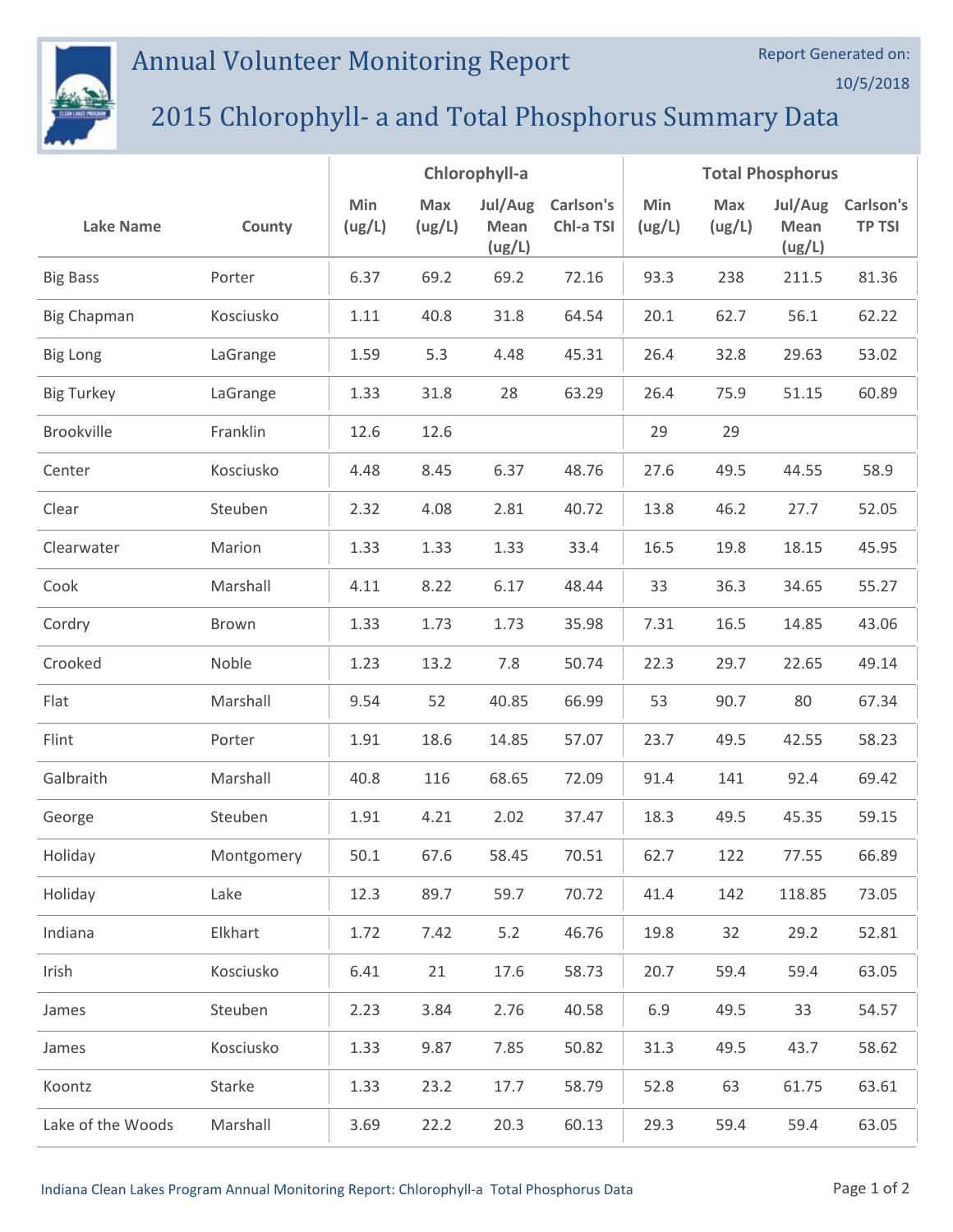## Annual Volunteer Monitoring Report



## 2015 Chlorophyll- a and Total Phosphorus Summary Data

|                    |            | Chlorophyll-a |               |                           | <b>Total Phosphorus</b> |               |               |                                  |                            |
|--------------------|------------|---------------|---------------|---------------------------|-------------------------|---------------|---------------|----------------------------------|----------------------------|
| <b>Lake Name</b>   | County     | Min<br>(ug/L) | Max<br>(ug/L) | Jul/Aug<br>Mean<br>(ug/L) | Carlson's<br>Chl-a TSI  | Min<br>(ug/L) | Max<br>(ug/L) | Jul/Aug<br><b>Mean</b><br>(ug/L) | Carlson's<br><b>TP TSI</b> |
| <b>Big Bass</b>    | Porter     | 6.37          | 69.2          | 69.2                      | 72.16                   | 93.3          | 238           | 211.5                            | 81.36                      |
| <b>Big Chapman</b> | Kosciusko  | 1.11          | 40.8          | 31.8                      | 64.54                   | 20.1          | 62.7          | 56.1                             | 62.22                      |
| <b>Big Long</b>    | LaGrange   | 1.59          | 5.3           | 4.48                      | 45.31                   | 26.4          | 32.8          | 29.63                            | 53.02                      |
| <b>Big Turkey</b>  | LaGrange   | 1.33          | 31.8          | 28                        | 63.29                   | 26.4          | 75.9          | 51.15                            | 60.89                      |
| Brookville         | Franklin   | 12.6          | 12.6          |                           |                         | 29            | 29            |                                  |                            |
| Center             | Kosciusko  | 4.48          | 8.45          | 6.37                      | 48.76                   | 27.6          | 49.5          | 44.55                            | 58.9                       |
| Clear              | Steuben    | 2.32          | 4.08          | 2.81                      | 40.72                   | 13.8          | 46.2          | 27.7                             | 52.05                      |
| Clearwater         | Marion     | 1.33          | 1.33          | 1.33                      | 33.4                    | 16.5          | 19.8          | 18.15                            | 45.95                      |
| Cook               | Marshall   | 4.11          | 8.22          | 6.17                      | 48.44                   | 33            | 36.3          | 34.65                            | 55.27                      |
| Cordry             | Brown      | 1.33          | 1.73          | 1.73                      | 35.98                   | 7.31          | 16.5          | 14.85                            | 43.06                      |
| Crooked            | Noble      | 1.23          | 13.2          | 7.8                       | 50.74                   | 22.3          | 29.7          | 22.65                            | 49.14                      |
| Flat               | Marshall   | 9.54          | 52            | 40.85                     | 66.99                   | 53            | 90.7          | 80                               | 67.34                      |
| Flint              | Porter     | 1.91          | 18.6          | 14.85                     | 57.07                   | 23.7          | 49.5          | 42.55                            | 58.23                      |
| Galbraith          | Marshall   | 40.8          | 116           | 68.65                     | 72.09                   | 91.4          | 141           | 92.4                             | 69.42                      |
| George             | Steuben    | 1.91          | 4.21          | 2.02                      | 37.47                   | 18.3          | 49.5          | 45.35                            | 59.15                      |
| Holiday            | Montgomery | 50.1          | 67.6          | 58.45                     | 70.51                   | 62.7          | 122           | 77.55                            | 66.89                      |
| Holiday            | Lake       | 12.3          | 89.7          | 59.7                      | 70.72                   | 41.4          | 142           | 118.85                           | 73.05                      |
| Indiana            | Elkhart    | 1.72          | 7.42          | 5.2                       | 46.76                   | 19.8          | 32            | 29.2                             | 52.81                      |
| Irish              | Kosciusko  | 6.41          | 21            | 17.6                      | 58.73                   | 20.7          | 59.4          | 59.4                             | 63.05                      |
| James              | Steuben    | 2.23          | 3.84          | 2.76                      | 40.58                   | 6.9           | 49.5          | 33                               | 54.57                      |
| James              | Kosciusko  | 1.33          | 9.87          | 7.85                      | 50.82                   | 31.3          | 49.5          | 43.7                             | 58.62                      |
| Koontz             | Starke     | 1.33          | 23.2          | 17.7                      | 58.79                   | 52.8          | 63            | 61.75                            | 63.61                      |
| Lake of the Woods  | Marshall   | 3.69          | 22.2          | 20.3                      | 60.13                   | 29.3          | 59.4          | 59.4                             | 63.05                      |

Report Generated on:

10/5/2018